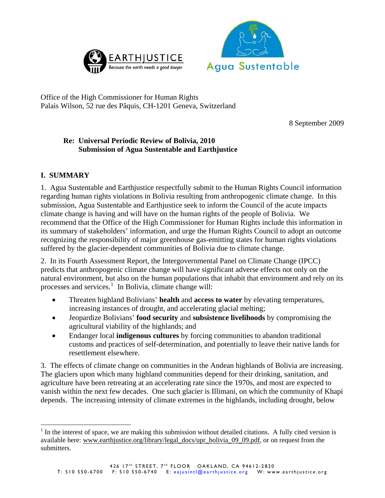



Office of the High Commissioner for Human Rights Palais Wilson, 52 rue des Pâquis, CH-1201 Geneva, Switzerland

8 September 2009

## **Re: Universal Periodic Review of Bolivia, 2010 Submission of Agua Sustentable and Earthjustice**

# **I. SUMMARY**

 $\overline{a}$ 

1. Agua Sustentable and Earthjustice respectfully submit to the Human Rights Council information regarding human rights violations in Bolivia resulting from anthropogenic climate change. In this submission, Agua Sustentable and Earthjustice seek to inform the Council of the acute impacts climate change is having and will have on the human rights of the people of Bolivia. We recommend that the Office of the High Commissioner for Human Rights include this information in its summary of stakeholders' information, and urge the Human Rights Council to adopt an outcome recognizing the responsibility of major greenhouse gas-emitting states for human rights violations suffered by the glacier-dependent communities of Bolivia due to climate change.

2. In its Fourth Assessment Report, the Intergovernmental Panel on Climate Change (IPCC) predicts that anthropogenic climate change will have significant adverse effects not only on the natural environment, but also on the human populations that inhabit that environment and rely on its processes and services.<sup>[1](#page-0-0)</sup> In Bolivia, climate change will:

- Threaten highland Bolivians' **health** and **access to water** by elevating temperatures, increasing instances of drought, and accelerating glacial melting;
- Jeopardize Bolivians' **food security** and **subsistence livelihoods** by compromising the agricultural viability of the highlands; and
- Endanger local **indigenous cultures** by forcing communities to abandon traditional customs and practices of self-determination, and potentially to leave their native lands for resettlement elsewhere.

3. The effects of climate change on communities in the Andean highlands of Bolivia are increasing. The glaciers upon which many highland communities depend for their drinking, sanitation, and agriculture have been retreating at an accelerating rate since the 1970s, and most are expected to vanish within the next few decades. One such glacier is Illimani, on which the community of Khapi depends. The increasing intensity of climate extremes in the highlands, including drought, below

<span id="page-0-0"></span> $<sup>1</sup>$  In the interest of space, we are making this submission without detailed citations. A fully cited version is</sup> available here: www.earthjustice.org/library/legal\_docs/upr\_bolivia\_09\_09.pdf, or on request from the submitters.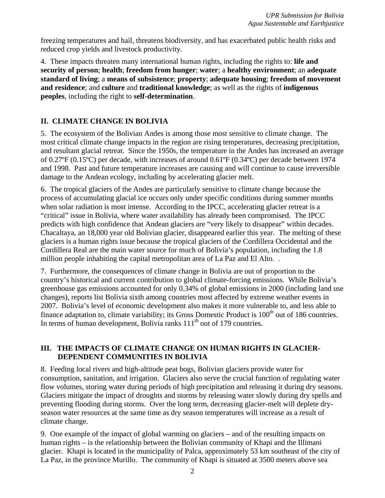freezing temperatures and hail, threatens biodiversity, and has exacerbated public health risks and reduced crop yields and livestock productivity.

4. These impacts threaten many international human rights, including the rights to: **life and security of person**; **health**; **freedom from hunger**; **water**; a **healthy environment**; an **adequate standard of living**; a **means of subsistence**; **property**; **adequate housing**; **freedom of movement and residence**; and **culture** and **traditional knowledge**; as well as the rights of **indigenous peoples**, including the right to **self-determination**.

## **II. CLIMATE CHANGE IN BOLIVIA**

5. The ecosystem of the Bolivian Andes is among those most sensitive to climate change. The most critical climate change impacts in the region are rising temperatures, decreasing precipitation, and resultant glacial retreat. Since the 1950s, the temperature in the Andes has increased an average of 0.27ºF (0.15ºC) per decade, with increases of around 0.61ºF (0.34ºC) per decade between 1974 and 1998. Past and future temperature increases are causing and will continue to cause irreversible damage to the Andean ecology, including by accelerating glacier melt.

6. The tropical glaciers of the Andes are particularly sensitive to climate change because the process of accumulating glacial ice occurs only under specific conditions during summer months when solar radiation is most intense. According to the IPCC, accelerating glacier retreat is a "critical" issue in Bolivia, where water availability has already been compromised. The IPCC predicts with high confidence that Andean glaciers are "very likely to disappear" within decades. Chacaltaya, an 18,000 year old Bolivian glacier, disappeared earlier this year. The melting of these glaciers is a human rights issue because the tropical glaciers of the Cordillera Occidental and the Cordillera Real are the main water source for much of Bolivia's population, including the 1.8 million people inhabiting the capital metropolitan area of La Paz and El Alto. .

7. Furthermore, the consequences of climate change in Bolivia are out of proportion to the country's historical and current contribution to global climate-forcing emissions. While Bolivia's greenhouse gas emissions accounted for only 0.34% of global emissions in 2000 (including land use changes), reports list Bolivia sixth among countries most affected by extreme weather events in 2007. Bolivia's level of economic development also makes it more vulnerable to, and less able to finance adaptation to, climate variability; its Gross Domestic Product is  $100<sup>th</sup>$  out of 186 countries. In terms of human development, Bolivia ranks  $111<sup>th</sup>$  out of 179 countries.

### **III. THE IMPACTS OF CLIMATE CHANGE ON HUMAN RIGHTS IN GLACIER-DEPENDENT COMMUNITIES IN BOLIVIA**

8. Feeding local rivers and high-altitude peat bogs, Bolivian glaciers provide water for consumption, sanitation, and irrigation. Glaciers also serve the crucial function of regulating water flow volumes, storing water during periods of high precipitation and releasing it during dry seasons. Glaciers mitigate the impact of droughts and storms by releasing water slowly during dry spells and preventing flooding during storms. Over the long term, decreasing glacier-melt will deplete dryseason water resources at the same time as dry season temperatures will increase as a result of climate change.

9. One example of the impact of global warming on glaciers – and of the resulting impacts on human rights – is the relationship between the Bolivian community of Khapi and the Illimani glacier. Khapi is located in the municipality of Palca, approximately 53 km southeast of the city of La Paz, in the province Murillo. The community of Khapi is situated at 3500 meters above sea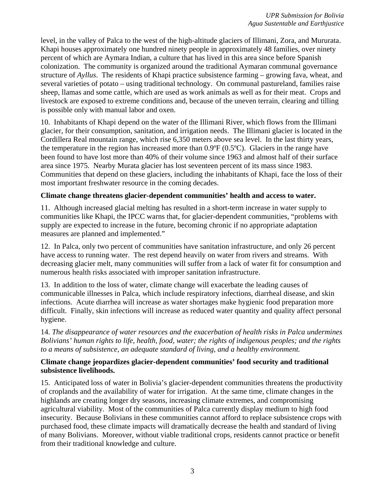level, in the valley of Palca to the west of the high-altitude glaciers of Illimani, Zora, and Mururata. Khapi houses approximately one hundred ninety people in approximately 48 families, over ninety percent of which are Aymara Indian, a culture that has lived in this area since before Spanish colonization. The community is organized around the traditional Aymaran communal governance structure of *Ayllus*. The residents of Khapi practice subsistence farming – growing fava, wheat, and several varieties of potato – using traditional technology. On communal pastureland, families raise sheep, llamas and some cattle, which are used as work animals as well as for their meat. Crops and livestock are exposed to extreme conditions and, because of the uneven terrain, clearing and tilling is possible only with manual labor and oxen.

10. Inhabitants of Khapi depend on the water of the Illimani River, which flows from the Illimani glacier, for their consumption, sanitation, and irrigation needs. The Illimani glacier is located in the Cordillera Real mountain range, which rise 6,350 meters above sea level. In the last thirty years, the temperature in the region has increased more than  $0.9^{\circ}F(0.5^{\circ}C)$ . Glaciers in the range have been found to have lost more than 40% of their volume since 1963 and almost half of their surface area since 1975. Nearby Murata glacier has lost seventeen percent of its mass since 1983. Communities that depend on these glaciers, including the inhabitants of Khapi, face the loss of their most important freshwater resource in the coming decades.

#### **Climate change threatens glacier-dependent communities' health and access to water.**

11. Although increased glacial melting has resulted in a short-term increase in water supply to communities like Khapi, the IPCC warns that, for glacier-dependent communities, "problems with supply are expected to increase in the future, becoming chronic if no appropriate adaptation measures are planned and implemented."

12. In Palca, only two percent of communities have sanitation infrastructure, and only 26 percent have access to running water. The rest depend heavily on water from rivers and streams. With decreasing glacier melt, many communities will suffer from a lack of water fit for consumption and numerous health risks associated with improper sanitation infrastructure.

13. In addition to the loss of water, climate change will exacerbate the leading causes of communicable illnesses in Palca, which include respiratory infections, diarrheal disease, and skin infections. Acute diarrhea will increase as water shortages make hygienic food preparation more difficult. Finally, skin infections will increase as reduced water quantity and quality affect personal hygiene.

14. *The disappearance of water resources and the exacerbation of health risks in Palca undermines Bolivians' human rights to life, health, food, water; the rights of indigenous peoples; and the rights to a means of subsistence, an adequate standard of living, and a healthy environment.*

#### **Climate change jeopardizes glacier-dependent communities' food security and traditional subsistence livelihoods.**

15. Anticipated loss of water in Bolivia's glacier-dependent communities threatens the productivity of croplands and the availability of water for irrigation. At the same time, climate changes in the highlands are creating longer dry seasons, increasing climate extremes, and compromising agricultural viability. Most of the communities of Palca currently display medium to high food insecurity. Because Bolivians in these communities cannot afford to replace subsistence crops with purchased food, these climate impacts will dramatically decrease the health and standard of living of many Bolivians. Moreover, without viable traditional crops, residents cannot practice or benefit from their traditional knowledge and culture.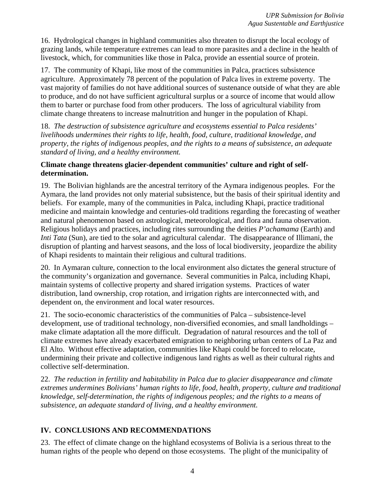16. Hydrological changes in highland communities also threaten to disrupt the local ecology of grazing lands, while temperature extremes can lead to more parasites and a decline in the health of livestock, which, for communities like those in Palca, provide an essential source of protein.

17. The community of Khapi, like most of the communities in Palca, practices subsistence agriculture. Approximately 78 percent of the population of Palca lives in extreme poverty. The vast majority of families do not have additional sources of sustenance outside of what they are able to produce, and do not have sufficient agricultural surplus or a source of income that would allow them to barter or purchase food from other producers. The loss of agricultural viability from climate change threatens to increase malnutrition and hunger in the population of Khapi.

18. *The destruction of subsistence agriculture and ecosystems essential to Palca residents' livelihoods undermines their rights to life, health, food, culture, traditional knowledge, and property, the rights of indigenous peoples, and the rights to a means of subsistence, an adequate standard of living, and a healthy environment.* 

### **Climate change threatens glacier-dependent communities' culture and right of selfdetermination.**

19. The Bolivian highlands are the ancestral territory of the Aymara indigenous peoples. For the Aymara, the land provides not only material subsistence, but the basis of their spiritual identity and beliefs. For example, many of the communities in Palca, including Khapi, practice traditional medicine and maintain knowledge and centuries-old traditions regarding the forecasting of weather and natural phenomenon based on astrological, meteorological, and flora and fauna observation. Religious holidays and practices, including rites surrounding the deities *P'achamama* (Earth) and *Inti Tata* (Sun), are tied to the solar and agricultural calendar. The disappearance of Illimani, the disruption of planting and harvest seasons, and the loss of local biodiversity, jeopardize the ability of Khapi residents to maintain their religious and cultural traditions.

20. In Aymaran culture, connection to the local environment also dictates the general structure of the community's organization and governance. Several communities in Palca, including Khapi, maintain systems of collective property and shared irrigation systems. Practices of water distribution, land ownership, crop rotation, and irrigation rights are interconnected with, and dependent on, the environment and local water resources.

21. The socio-economic characteristics of the communities of Palca – subsistence-level development, use of traditional technology, non-diversified economies, and small landholdings – make climate adaptation all the more difficult. Degradation of natural resources and the toll of climate extremes have already exacerbated emigration to neighboring urban centers of La Paz and El Alto.Without effective adaptation, communities like Khapi could be forced to relocate, undermining their private and collective indigenous land rights as well as their cultural rights and collective self-determination.

22. *The reduction in fertility and habitability in Palca due to glacier disappearance and climate extremes undermines Bolivians' human rights to life, food, health, property, culture and traditional knowledge, self-determination, the rights of indigenous peoples; and the rights to a means of subsistence, an adequate standard of living, and a healthy environment.* 

# **IV. CONCLUSIONS AND RECOMMENDATIONS**

23. The effect of climate change on the highland ecosystems of Bolivia is a serious threat to the human rights of the people who depend on those ecosystems. The plight of the municipality of